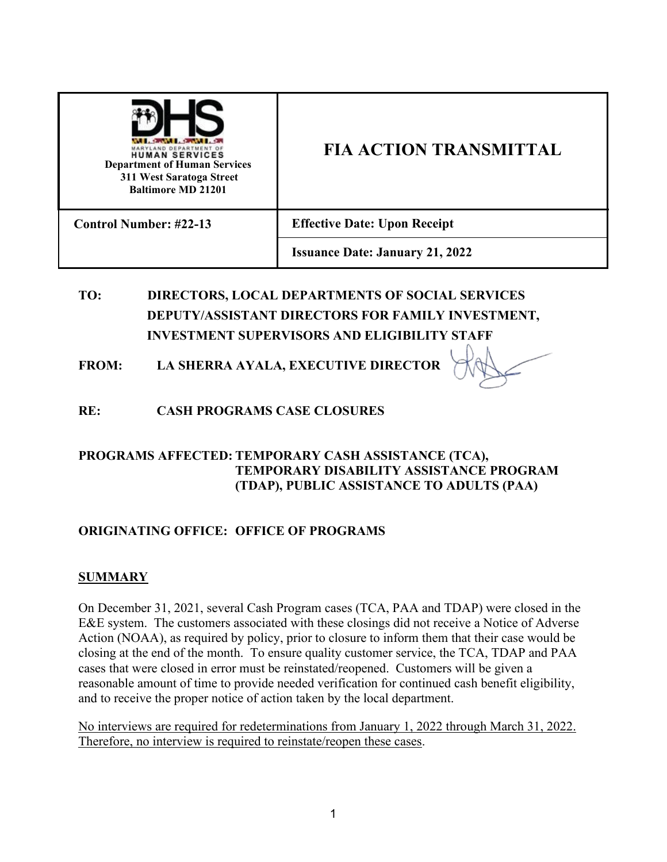| <b>HUMAN SERVICES</b><br><b>Department of Human Services</b><br>311 West Saratoga Street<br><b>Baltimore MD 21201</b> | <b>FIA ACTION TRANSMITTAL</b>          |  |
|-----------------------------------------------------------------------------------------------------------------------|----------------------------------------|--|
| <b>Control Number: #22-13</b>                                                                                         | <b>Effective Date: Upon Receipt</b>    |  |
|                                                                                                                       | <b>Issuance Date: January 21, 2022</b> |  |

# **TO: DIRECTORS, LOCAL DEPARTMENTS OF SOCIAL SERVICES DEPUTY/ASSISTANT DIRECTORS FOR FAMILY INVESTMENT, INVESTMENT SUPERVISORS AND ELIGIBILITY STAFF**

**FROM: LA SHERRA AYALA, EXECUTIVE DIRECTOR**

**RE: CASH PROGRAMS CASE CLOSURES** 

### **PROGRAMS AFFECTED: TEMPORARY CASH ASSISTANCE (TCA), TEMPORARY DISABILITY ASSISTANCE PROGRAM (TDAP), PUBLIC ASSISTANCE TO ADULTS (PAA)**

### **ORIGINATING OFFICE: OFFICE OF PROGRAMS**

### **SUMMARY**

On December 31, 2021, several Cash Program cases (TCA, PAA and TDAP) were closed in the E&E system. The customers associated with these closings did not receive a Notice of Adverse Action (NOAA), as required by policy, prior to closure to inform them that their case would be closing at the end of the month. To ensure quality customer service, the TCA, TDAP and PAA cases that were closed in error must be reinstated/reopened. Customers will be given a reasonable amount of time to provide needed verification for continued cash benefit eligibility, and to receive the proper notice of action taken by the local department.

No interviews are required for redeterminations from January 1, 2022 through March 31, 2022. Therefore, no interview is required to reinstate/reopen these cases.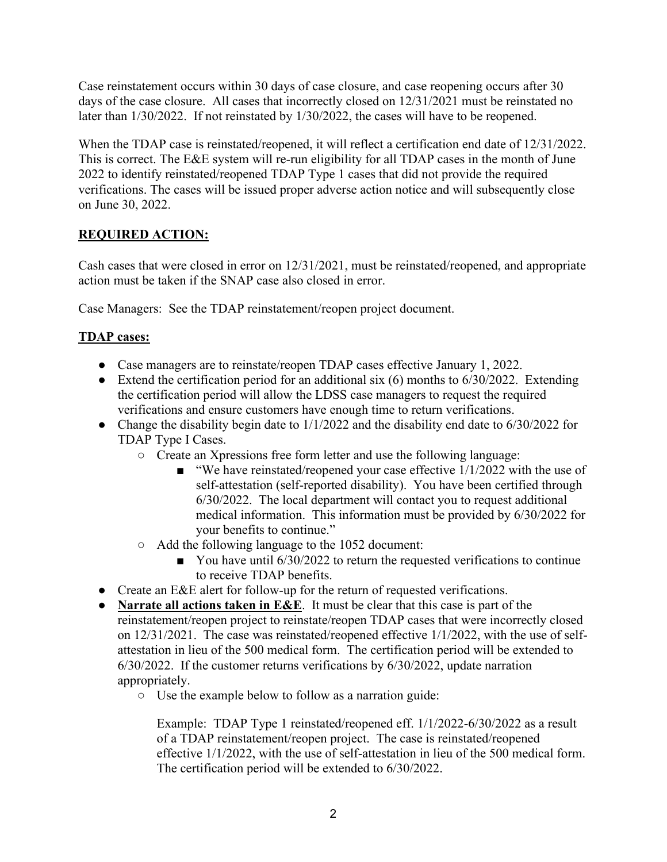Case reinstatement occurs within 30 days of case closure, and case reopening occurs after 30 days of the case closure. All cases that incorrectly closed on 12/31/2021 must be reinstated no later than 1/30/2022. If not reinstated by 1/30/2022, the cases will have to be reopened.

When the TDAP case is reinstated/reopened, it will reflect a certification end date of  $12/31/2022$ . This is correct. The E&E system will re-run eligibility for all TDAP cases in the month of June 2022 to identify reinstated/reopened TDAP Type 1 cases that did not provide the required verifications. The cases will be issued proper adverse action notice and will subsequently close on June 30, 2022.

# **REQUIRED ACTION:**

Cash cases that were closed in error on 12/31/2021, must be reinstated/reopened, and appropriate action must be taken if the SNAP case also closed in error.

Case Managers: See the TDAP reinstatement/reopen project document.

# **TDAP cases:**

- Case managers are to reinstate/reopen TDAP cases effective January 1, 2022.
- Extend the certification period for an additional six  $(6)$  months to  $6/30/2022$ . Extending the certification period will allow the LDSS case managers to request the required verifications and ensure customers have enough time to return verifications.
- Change the disability begin date to  $1/1/2022$  and the disability end date to 6/30/2022 for TDAP Type I Cases.
	- Create an Xpressions free form letter and use the following language:
		- We have reinstated/reopened your case effective  $1/1/2022$  with the use of self-attestation (self-reported disability). You have been certified through 6/30/2022. The local department will contact you to request additional medical information. This information must be provided by 6/30/2022 for your benefits to continue."
	- Add the following language to the 1052 document:
		- You have until 6/30/2022 to return the requested verifications to continue to receive TDAP benefits.
- Create an E&E alert for follow-up for the return of requested verifications.
- **Narrate all actions taken in E&E**. It must be clear that this case is part of the reinstatement/reopen project to reinstate/reopen TDAP cases that were incorrectly closed on 12/31/2021. The case was reinstated/reopened effective 1/1/2022, with the use of selfattestation in lieu of the 500 medical form. The certification period will be extended to 6/30/2022. If the customer returns verifications by 6/30/2022, update narration appropriately.
	- Use the example below to follow as a narration guide:

Example: TDAP Type 1 reinstated/reopened eff. 1/1/2022-6/30/2022 as a result of a TDAP reinstatement/reopen project. The case is reinstated/reopened effective 1/1/2022, with the use of self-attestation in lieu of the 500 medical form. The certification period will be extended to 6/30/2022.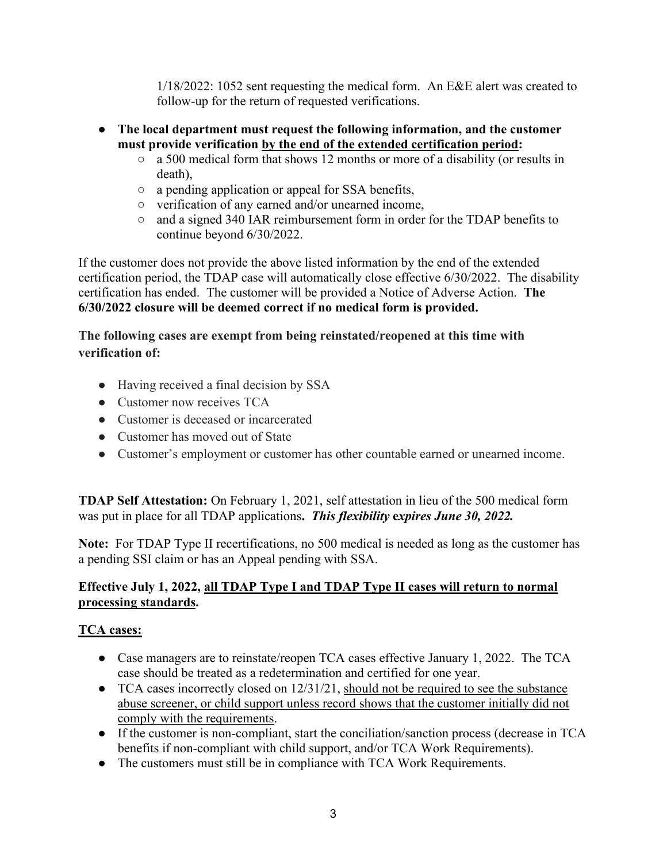1/18/2022: 1052 sent requesting the medical form. An E&E alert was created to follow-up for the return of requested verifications.

- **The local department must request the following information, and the customer must provide verification by the end of the extended certification period:** 
	- a 500 medical form that shows 12 months or more of a disability (or results in death),
	- a pending application or appeal for SSA benefits,
	- verification of any earned and/or unearned income,
	- and a signed 340 IAR reimbursement form in order for the TDAP benefits to continue beyond 6/30/2022.

If the customer does not provide the above listed information by the end of the extended certification period, the TDAP case will automatically close effective 6/30/2022. The disability certification has ended. The customer will be provided a Notice of Adverse Action. **The 6/30/2022 closure will be deemed correct if no medical form is provided.**

# **The following cases are exempt from being reinstated/reopened at this time with verification of:**

- Having received a final decision by SSA
- Customer now receives TCA
- Customer is deceased or incarcerated
- Customer has moved out of State
- Customer's employment or customer has other countable earned or unearned income.

**TDAP Self Attestation:** On February 1, 2021, self attestation in lieu of the 500 medical form was put in place for all TDAP applications. This flexibility expires June 30, 2022.

**Note:** For TDAP Type II recertifications, no 500 medical is needed as long as the customer has a pending SSI claim or has an Appeal pending with SSA.

# **Effective July 1, 2022, all TDAP Type I and TDAP Type II cases will return to normal processing standards.**

# **TCA cases:**

- Case managers are to reinstate/reopen TCA cases effective January 1, 2022. The TCA case should be treated as a redetermination and certified for one year.
- TCA cases incorrectly closed on 12/31/21, should not be required to see the substance abuse screener, or child support unless record shows that the customer initially did not comply with the requirements.
- If the customer is non-compliant, start the conciliation/sanction process (decrease in TCA benefits if non-compliant with child support, and/or TCA Work Requirements).
- The customers must still be in compliance with TCA Work Requirements.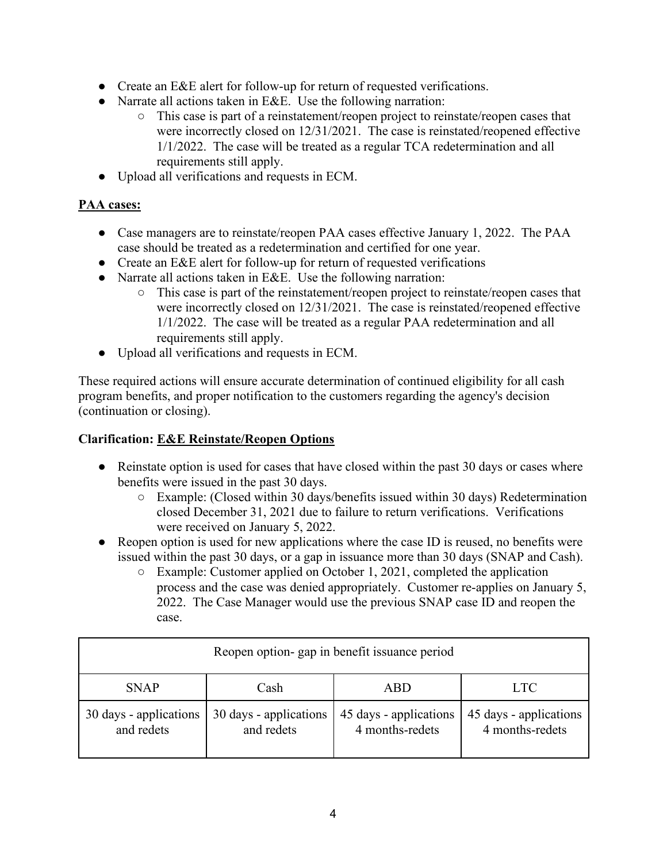- Create an E&E alert for follow-up for return of requested verifications.
- Narrate all actions taken in E&E. Use the following narration:
	- This case is part of a reinstatement/reopen project to reinstate/reopen cases that were incorrectly closed on 12/31/2021. The case is reinstated/reopened effective 1/1/2022. The case will be treated as a regular TCA redetermination and all requirements still apply.
- Upload all verifications and requests in ECM.

### **PAA cases:**

- Case managers are to reinstate/reopen PAA cases effective January 1, 2022. The PAA case should be treated as a redetermination and certified for one year.
- Create an E&E alert for follow-up for return of requested verifications
- Narrate all actions taken in E&E. Use the following narration:
	- This case is part of the reinstatement/reopen project to reinstate/reopen cases that were incorrectly closed on 12/31/2021. The case is reinstated/reopened effective 1/1/2022. The case will be treated as a regular PAA redetermination and all requirements still apply.
- Upload all verifications and requests in ECM.

These required actions will ensure accurate determination of continued eligibility for all cash program benefits, and proper notification to the customers regarding the agency's decision (continuation or closing).

### **Clarification: E&E Reinstate/Reopen Options**

- Reinstate option is used for cases that have closed within the past 30 days or cases where benefits were issued in the past 30 days.
	- Example: (Closed within 30 days/benefits issued within 30 days) Redetermination closed December 31, 2021 due to failure to return verifications. Verifications were received on January 5, 2022.
- Reopen option is used for new applications where the case ID is reused, no benefits were issued within the past 30 days, or a gap in issuance more than 30 days (SNAP and Cash).
	- Example: Customer applied on October 1, 2021, completed the application process and the case was denied appropriately. Customer re-applies on January 5, 2022. The Case Manager would use the previous SNAP case ID and reopen the case.

| Reopen option- gap in benefit issuance period |                                      |                                           |                                           |  |
|-----------------------------------------------|--------------------------------------|-------------------------------------------|-------------------------------------------|--|
| <b>SNAP</b>                                   | Cash                                 | ABD                                       | <b>LTC</b>                                |  |
| 30 days - applications<br>and redets          | 30 days - applications<br>and redets | 45 days - applications<br>4 months-redets | 45 days - applications<br>4 months-redets |  |